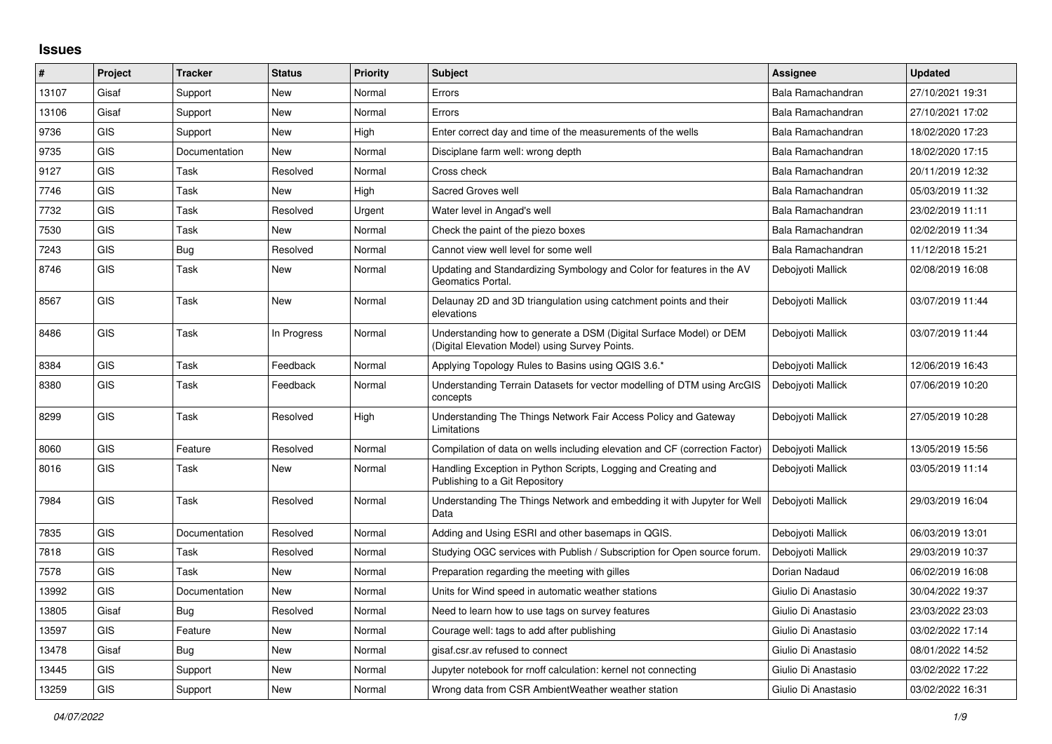## **Issues**

| $\vert$ # | <b>Project</b> | <b>Tracker</b> | <b>Status</b> | Priority | <b>Subject</b>                                                                                                       | <b>Assignee</b>     | <b>Updated</b>   |
|-----------|----------------|----------------|---------------|----------|----------------------------------------------------------------------------------------------------------------------|---------------------|------------------|
| 13107     | Gisaf          | Support        | <b>New</b>    | Normal   | Errors                                                                                                               | Bala Ramachandran   | 27/10/2021 19:31 |
| 13106     | Gisaf          | Support        | <b>New</b>    | Normal   | Errors                                                                                                               | Bala Ramachandran   | 27/10/2021 17:02 |
| 9736      | <b>GIS</b>     | Support        | New           | High     | Enter correct day and time of the measurements of the wells                                                          | Bala Ramachandran   | 18/02/2020 17:23 |
| 9735      | <b>GIS</b>     | Documentation  | <b>New</b>    | Normal   | Disciplane farm well: wrong depth                                                                                    | Bala Ramachandran   | 18/02/2020 17:15 |
| 9127      | <b>GIS</b>     | Task           | Resolved      | Normal   | Cross check                                                                                                          | Bala Ramachandran   | 20/11/2019 12:32 |
| 7746      | <b>GIS</b>     | Task           | New           | High     | Sacred Groves well                                                                                                   | Bala Ramachandran   | 05/03/2019 11:32 |
| 7732      | <b>GIS</b>     | Task           | Resolved      | Urgent   | Water level in Angad's well                                                                                          | Bala Ramachandran   | 23/02/2019 11:11 |
| 7530      | <b>GIS</b>     | Task           | New           | Normal   | Check the paint of the piezo boxes                                                                                   | Bala Ramachandran   | 02/02/2019 11:34 |
| 7243      | <b>GIS</b>     | Bug            | Resolved      | Normal   | Cannot view well level for some well                                                                                 | Bala Ramachandran   | 11/12/2018 15:21 |
| 8746      | <b>GIS</b>     | Task           | <b>New</b>    | Normal   | Updating and Standardizing Symbology and Color for features in the AV<br>Geomatics Portal.                           | Debojyoti Mallick   | 02/08/2019 16:08 |
| 8567      | <b>GIS</b>     | Task           | New           | Normal   | Delaunay 2D and 3D triangulation using catchment points and their<br>elevations                                      | Debojyoti Mallick   | 03/07/2019 11:44 |
| 8486      | <b>GIS</b>     | Task           | In Progress   | Normal   | Understanding how to generate a DSM (Digital Surface Model) or DEM<br>(Digital Elevation Model) using Survey Points. | Deboivoti Mallick   | 03/07/2019 11:44 |
| 8384      | <b>GIS</b>     | Task           | Feedback      | Normal   | Applying Topology Rules to Basins using QGIS 3.6.*                                                                   | Debojyoti Mallick   | 12/06/2019 16:43 |
| 8380      | <b>GIS</b>     | Task           | Feedback      | Normal   | Understanding Terrain Datasets for vector modelling of DTM using ArcGIS<br>concepts                                  | Debojyoti Mallick   | 07/06/2019 10:20 |
| 8299      | <b>GIS</b>     | Task           | Resolved      | High     | Understanding The Things Network Fair Access Policy and Gateway<br>Limitations                                       | Debojyoti Mallick   | 27/05/2019 10:28 |
| 8060      | <b>GIS</b>     | Feature        | Resolved      | Normal   | Compilation of data on wells including elevation and CF (correction Factor)                                          | Debojyoti Mallick   | 13/05/2019 15:56 |
| 8016      | <b>GIS</b>     | Task           | <b>New</b>    | Normal   | Handling Exception in Python Scripts, Logging and Creating and<br>Publishing to a Git Repository                     | Deboivoti Mallick   | 03/05/2019 11:14 |
| 7984      | <b>GIS</b>     | Task           | Resolved      | Normal   | Understanding The Things Network and embedding it with Jupyter for Well<br>Data                                      | Debojyoti Mallick   | 29/03/2019 16:04 |
| 7835      | <b>GIS</b>     | Documentation  | Resolved      | Normal   | Adding and Using ESRI and other basemaps in QGIS.                                                                    | Deboivoti Mallick   | 06/03/2019 13:01 |
| 7818      | <b>GIS</b>     | Task           | Resolved      | Normal   | Studying OGC services with Publish / Subscription for Open source forum.                                             | Debojyoti Mallick   | 29/03/2019 10:37 |
| 7578      | <b>GIS</b>     | Task           | <b>New</b>    | Normal   | Preparation regarding the meeting with gilles                                                                        | Dorian Nadaud       | 06/02/2019 16:08 |
| 13992     | <b>GIS</b>     | Documentation  | <b>New</b>    | Normal   | Units for Wind speed in automatic weather stations                                                                   | Giulio Di Anastasio | 30/04/2022 19:37 |
| 13805     | Gisaf          | Bug            | Resolved      | Normal   | Need to learn how to use tags on survey features                                                                     | Giulio Di Anastasio | 23/03/2022 23:03 |
| 13597     | <b>GIS</b>     | Feature        | <b>New</b>    | Normal   | Courage well: tags to add after publishing                                                                           | Giulio Di Anastasio | 03/02/2022 17:14 |
| 13478     | Gisaf          | Bua            | <b>New</b>    | Normal   | gisaf.csr.av refused to connect                                                                                      | Giulio Di Anastasio | 08/01/2022 14:52 |
| 13445     | <b>GIS</b>     | Support        | <b>New</b>    | Normal   | Jupyter notebook for rnoff calculation: kernel not connecting                                                        | Giulio Di Anastasio | 03/02/2022 17:22 |
| 13259     | <b>GIS</b>     | Support        | <b>New</b>    | Normal   | Wrong data from CSR Ambient Weather weather station                                                                  | Giulio Di Anastasio | 03/02/2022 16:31 |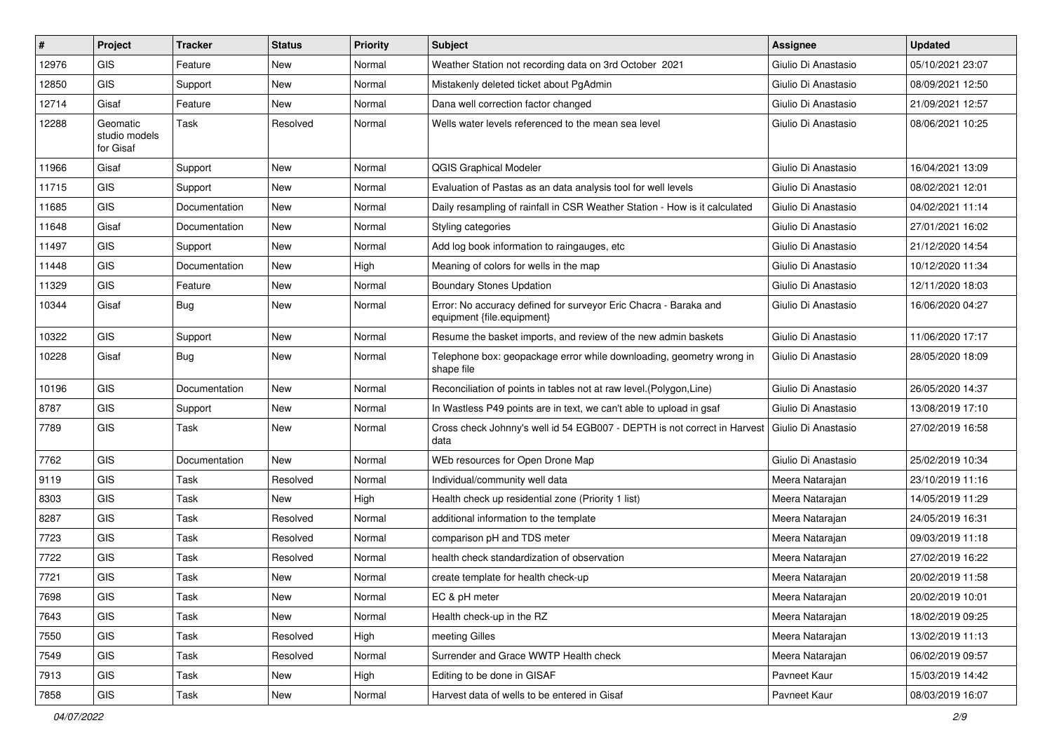| #     | Project                                | <b>Tracker</b> | <b>Status</b> | <b>Priority</b> | Subject                                                                                        | Assignee              | <b>Updated</b>   |
|-------|----------------------------------------|----------------|---------------|-----------------|------------------------------------------------------------------------------------------------|-----------------------|------------------|
| 12976 | <b>GIS</b>                             | Feature        | New           | Normal          | Weather Station not recording data on 3rd October 2021                                         | Giulio Di Anastasio   | 05/10/2021 23:07 |
| 12850 | <b>GIS</b>                             | Support        | New           | Normal          | Mistakenly deleted ticket about PgAdmin                                                        | Giulio Di Anastasio   | 08/09/2021 12:50 |
| 12714 | Gisaf                                  | Feature        | New           | Normal          | Dana well correction factor changed                                                            | Giulio Di Anastasio   | 21/09/2021 12:57 |
| 12288 | Geomatic<br>studio models<br>for Gisaf | Task           | Resolved      | Normal          | Wells water levels referenced to the mean sea level                                            | Giulio Di Anastasio   | 08/06/2021 10:25 |
| 11966 | Gisaf                                  | Support        | New           | Normal          | <b>QGIS Graphical Modeler</b>                                                                  | Giulio Di Anastasio   | 16/04/2021 13:09 |
| 11715 | <b>GIS</b>                             | Support        | New           | Normal          | Evaluation of Pastas as an data analysis tool for well levels                                  | Giulio Di Anastasio   | 08/02/2021 12:01 |
| 11685 | <b>GIS</b>                             | Documentation  | <b>New</b>    | Normal          | Daily resampling of rainfall in CSR Weather Station - How is it calculated                     | Giulio Di Anastasio   | 04/02/2021 11:14 |
| 11648 | Gisaf                                  | Documentation  | New           | Normal          | Styling categories                                                                             | Giulio Di Anastasio   | 27/01/2021 16:02 |
| 11497 | <b>GIS</b>                             | Support        | New           | Normal          | Add log book information to raingauges, etc                                                    | Giulio Di Anastasio   | 21/12/2020 14:54 |
| 11448 | <b>GIS</b>                             | Documentation  | <b>New</b>    | High            | Meaning of colors for wells in the map                                                         | Giulio Di Anastasio   | 10/12/2020 11:34 |
| 11329 | <b>GIS</b>                             | Feature        | New           | Normal          | <b>Boundary Stones Updation</b>                                                                | Giulio Di Anastasio   | 12/11/2020 18:03 |
| 10344 | Gisaf                                  | Bug            | New           | Normal          | Error: No accuracy defined for surveyor Eric Chacra - Baraka and<br>equipment {file.equipment} | Giulio Di Anastasio   | 16/06/2020 04:27 |
| 10322 | <b>GIS</b>                             | Support        | New           | Normal          | Resume the basket imports, and review of the new admin baskets                                 | Giulio Di Anastasio   | 11/06/2020 17:17 |
| 10228 | Gisaf                                  | Bug            | New           | Normal          | Telephone box: geopackage error while downloading, geometry wrong in<br>shape file             | Giulio Di Anastasio   | 28/05/2020 18:09 |
| 10196 | <b>GIS</b>                             | Documentation  | New           | Normal          | Reconciliation of points in tables not at raw level. (Polygon, Line)                           | Giulio Di Anastasio   | 26/05/2020 14:37 |
| 8787  | GIS                                    | Support        | New           | Normal          | In Wastless P49 points are in text, we can't able to upload in gsaf                            | Giulio Di Anastasio   | 13/08/2019 17:10 |
| 7789  | GIS                                    | Task           | New           | Normal          | Cross check Johnny's well id 54 EGB007 - DEPTH is not correct in Harvest<br>data               | l Giulio Di Anastasio | 27/02/2019 16:58 |
| 7762  | <b>GIS</b>                             | Documentation  | <b>New</b>    | Normal          | WEb resources for Open Drone Map                                                               | Giulio Di Anastasio   | 25/02/2019 10:34 |
| 9119  | <b>GIS</b>                             | Task           | Resolved      | Normal          | Individual/community well data                                                                 | Meera Natarajan       | 23/10/2019 11:16 |
| 8303  | GIS                                    | Task           | <b>New</b>    | High            | Health check up residential zone (Priority 1 list)                                             | Meera Natarajan       | 14/05/2019 11:29 |
| 8287  | <b>GIS</b>                             | Task           | Resolved      | Normal          | additional information to the template                                                         | Meera Natarajan       | 24/05/2019 16:31 |
| 7723  | <b>GIS</b>                             | Task           | Resolved      | Normal          | comparison pH and TDS meter                                                                    | Meera Natarajan       | 09/03/2019 11:18 |
| 7722  | GIS                                    | Task           | Resolved      | Normal          | health check standardization of observation                                                    | Meera Natarajan       | 27/02/2019 16:22 |
| 7721  | <b>GIS</b>                             | Task           | New           | Normal          | create template for health check-up                                                            | Meera Natarajan       | 20/02/2019 11:58 |
| 7698  | GIS                                    | Task           | New           | Normal          | EC & pH meter                                                                                  | Meera Natarajan       | 20/02/2019 10:01 |
| 7643  | GIS                                    | Task           | New           | Normal          | Health check-up in the RZ                                                                      | Meera Natarajan       | 18/02/2019 09:25 |
| 7550  | GIS                                    | Task           | Resolved      | High            | meeting Gilles                                                                                 | Meera Natarajan       | 13/02/2019 11:13 |
| 7549  | GIS                                    | Task           | Resolved      | Normal          | Surrender and Grace WWTP Health check                                                          | Meera Natarajan       | 06/02/2019 09:57 |
| 7913  | GIS                                    | Task           | New           | High            | Editing to be done in GISAF                                                                    | Pavneet Kaur          | 15/03/2019 14:42 |
| 7858  | GIS                                    | Task           | New           | Normal          | Harvest data of wells to be entered in Gisaf                                                   | Pavneet Kaur          | 08/03/2019 16:07 |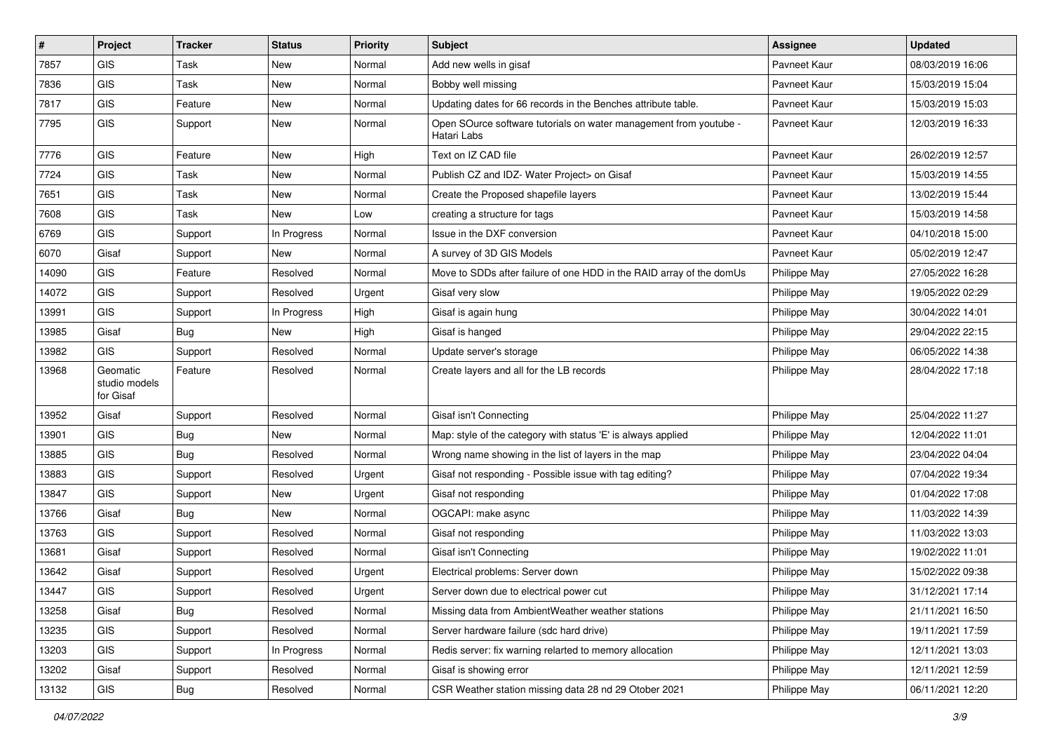| #     | Project                                | <b>Tracker</b> | <b>Status</b> | <b>Priority</b> | Subject                                                                          | Assignee     | <b>Updated</b>   |
|-------|----------------------------------------|----------------|---------------|-----------------|----------------------------------------------------------------------------------|--------------|------------------|
| 7857  | GIS                                    | Task           | <b>New</b>    | Normal          | Add new wells in gisaf                                                           | Pavneet Kaur | 08/03/2019 16:06 |
| 7836  | GIS                                    | Task           | <b>New</b>    | Normal          | Bobby well missing                                                               | Pavneet Kaur | 15/03/2019 15:04 |
| 7817  | GIS                                    | Feature        | <b>New</b>    | Normal          | Updating dates for 66 records in the Benches attribute table.                    | Pavneet Kaur | 15/03/2019 15:03 |
| 7795  | GIS                                    | Support        | New           | Normal          | Open SOurce software tutorials on water management from youtube -<br>Hatari Labs | Pavneet Kaur | 12/03/2019 16:33 |
| 7776  | GIS                                    | Feature        | <b>New</b>    | High            | Text on IZ CAD file                                                              | Pavneet Kaur | 26/02/2019 12:57 |
| 7724  | GIS                                    | Task           | <b>New</b>    | Normal          | Publish CZ and IDZ- Water Project> on Gisaf                                      | Pavneet Kaur | 15/03/2019 14:55 |
| 7651  | GIS                                    | Task           | <b>New</b>    | Normal          | Create the Proposed shapefile layers                                             | Pavneet Kaur | 13/02/2019 15:44 |
| 7608  | GIS                                    | Task           | <b>New</b>    | Low             | creating a structure for tags                                                    | Pavneet Kaur | 15/03/2019 14:58 |
| 6769  | GIS                                    | Support        | In Progress   | Normal          | Issue in the DXF conversion                                                      | Pavneet Kaur | 04/10/2018 15:00 |
| 6070  | Gisaf                                  | Support        | <b>New</b>    | Normal          | A survey of 3D GIS Models                                                        | Pavneet Kaur | 05/02/2019 12:47 |
| 14090 | GIS                                    | Feature        | Resolved      | Normal          | Move to SDDs after failure of one HDD in the RAID array of the domUs             | Philippe May | 27/05/2022 16:28 |
| 14072 | GIS                                    | Support        | Resolved      | Urgent          | Gisaf very slow                                                                  | Philippe May | 19/05/2022 02:29 |
| 13991 | <b>GIS</b>                             | Support        | In Progress   | High            | Gisaf is again hung                                                              | Philippe May | 30/04/2022 14:01 |
| 13985 | Gisaf                                  | Bug            | <b>New</b>    | High            | Gisaf is hanged                                                                  | Philippe May | 29/04/2022 22:15 |
| 13982 | GIS                                    | Support        | Resolved      | Normal          | Update server's storage                                                          | Philippe May | 06/05/2022 14:38 |
| 13968 | Geomatic<br>studio models<br>for Gisaf | Feature        | Resolved      | Normal          | Create layers and all for the LB records                                         | Philippe May | 28/04/2022 17:18 |
| 13952 | Gisaf                                  | Support        | Resolved      | Normal          | Gisaf isn't Connecting                                                           | Philippe May | 25/04/2022 11:27 |
| 13901 | GIS                                    | Bug            | <b>New</b>    | Normal          | Map: style of the category with status 'E' is always applied                     | Philippe May | 12/04/2022 11:01 |
| 13885 | GIS                                    | Bug            | Resolved      | Normal          | Wrong name showing in the list of layers in the map                              | Philippe May | 23/04/2022 04:04 |
| 13883 | GIS                                    | Support        | Resolved      | Urgent          | Gisaf not responding - Possible issue with tag editing?                          | Philippe May | 07/04/2022 19:34 |
| 13847 | <b>GIS</b>                             | Support        | <b>New</b>    | Urgent          | Gisaf not responding                                                             | Philippe May | 01/04/2022 17:08 |
| 13766 | Gisaf                                  | Bug            | New           | Normal          | OGCAPI: make async                                                               | Philippe May | 11/03/2022 14:39 |
| 13763 | GIS                                    | Support        | Resolved      | Normal          | Gisaf not responding                                                             | Philippe May | 11/03/2022 13:03 |
| 13681 | Gisaf                                  | Support        | Resolved      | Normal          | Gisaf isn't Connecting                                                           | Philippe May | 19/02/2022 11:01 |
| 13642 | Gisaf                                  | Support        | Resolved      | Urgent          | Electrical problems: Server down                                                 | Philippe May | 15/02/2022 09:38 |
| 13447 | <b>GIS</b>                             | Support        | Resolved      | Urgent          | Server down due to electrical power cut                                          | Philippe May | 31/12/2021 17:14 |
| 13258 | Gisaf                                  | Bug            | Resolved      | Normal          | Missing data from AmbientWeather weather stations                                | Philippe May | 21/11/2021 16:50 |
| 13235 | GIS                                    | Support        | Resolved      | Normal          | Server hardware failure (sdc hard drive)                                         | Philippe May | 19/11/2021 17:59 |
| 13203 | GIS                                    | Support        | In Progress   | Normal          | Redis server: fix warning relarted to memory allocation                          | Philippe May | 12/11/2021 13:03 |
| 13202 | Gisaf                                  | Support        | Resolved      | Normal          | Gisaf is showing error                                                           | Philippe May | 12/11/2021 12:59 |
| 13132 | GIS                                    | Bug            | Resolved      | Normal          | CSR Weather station missing data 28 nd 29 Otober 2021                            | Philippe May | 06/11/2021 12:20 |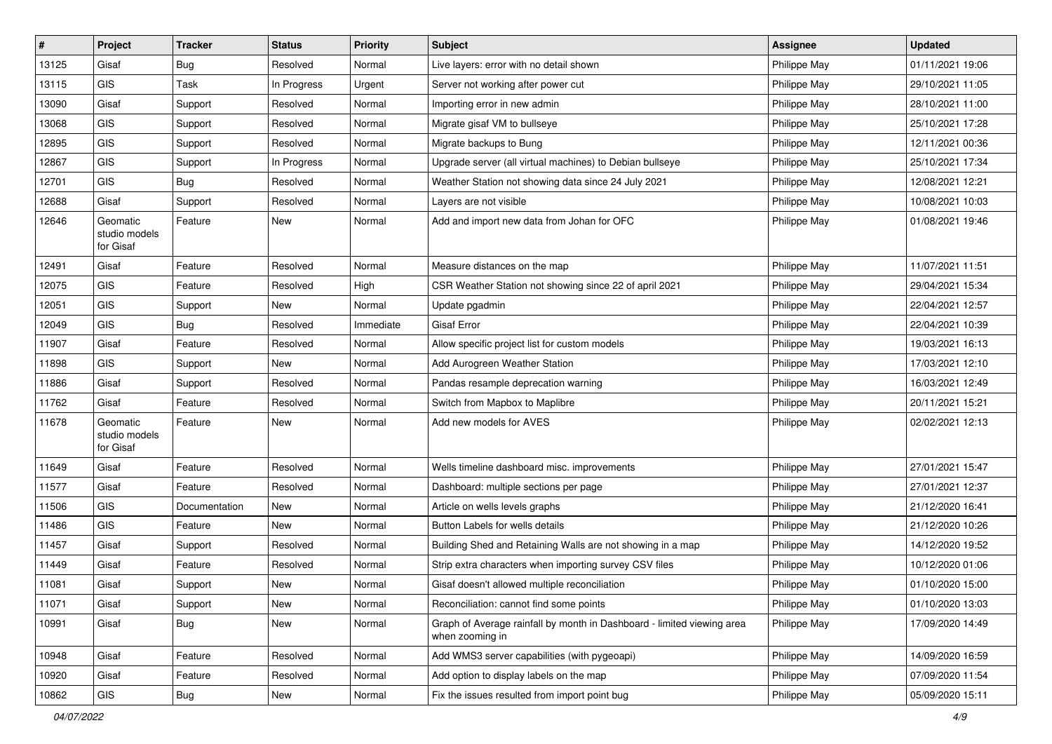| #     | Project                                | <b>Tracker</b> | <b>Status</b> | <b>Priority</b> | Subject                                                                                   | <b>Assignee</b> | <b>Updated</b>   |
|-------|----------------------------------------|----------------|---------------|-----------------|-------------------------------------------------------------------------------------------|-----------------|------------------|
| 13125 | Gisaf                                  | <b>Bug</b>     | Resolved      | Normal          | Live layers: error with no detail shown                                                   | Philippe May    | 01/11/2021 19:06 |
| 13115 | <b>GIS</b>                             | <b>Task</b>    | In Progress   | Urgent          | Server not working after power cut                                                        | Philippe May    | 29/10/2021 11:05 |
| 13090 | Gisaf                                  | Support        | Resolved      | Normal          | Importing error in new admin                                                              | Philippe May    | 28/10/2021 11:00 |
| 13068 | GIS                                    | Support        | Resolved      | Normal          | Migrate gisaf VM to bullseye                                                              | Philippe May    | 25/10/2021 17:28 |
| 12895 | GIS                                    | Support        | Resolved      | Normal          | Migrate backups to Bung                                                                   | Philippe May    | 12/11/2021 00:36 |
| 12867 | <b>GIS</b>                             | Support        | In Progress   | Normal          | Upgrade server (all virtual machines) to Debian bullseye                                  | Philippe May    | 25/10/2021 17:34 |
| 12701 | GIS                                    | Bug            | Resolved      | Normal          | Weather Station not showing data since 24 July 2021                                       | Philippe May    | 12/08/2021 12:21 |
| 12688 | Gisaf                                  | Support        | Resolved      | Normal          | Layers are not visible                                                                    | Philippe May    | 10/08/2021 10:03 |
| 12646 | Geomatic<br>studio models<br>for Gisaf | Feature        | <b>New</b>    | Normal          | Add and import new data from Johan for OFC                                                | Philippe May    | 01/08/2021 19:46 |
| 12491 | Gisaf                                  | Feature        | Resolved      | Normal          | Measure distances on the map                                                              | Philippe May    | 11/07/2021 11:51 |
| 12075 | GIS                                    | Feature        | Resolved      | High            | CSR Weather Station not showing since 22 of april 2021                                    | Philippe May    | 29/04/2021 15:34 |
| 12051 | <b>GIS</b>                             | Support        | New           | Normal          | Update pgadmin                                                                            | Philippe May    | 22/04/2021 12:57 |
| 12049 | GIS                                    | Bug            | Resolved      | Immediate       | <b>Gisaf Error</b>                                                                        | Philippe May    | 22/04/2021 10:39 |
| 11907 | Gisaf                                  | Feature        | Resolved      | Normal          | Allow specific project list for custom models                                             | Philippe May    | 19/03/2021 16:13 |
| 11898 | GIS                                    | Support        | New           | Normal          | Add Aurogreen Weather Station                                                             | Philippe May    | 17/03/2021 12:10 |
| 11886 | Gisaf                                  | Support        | Resolved      | Normal          | Pandas resample deprecation warning                                                       | Philippe May    | 16/03/2021 12:49 |
| 11762 | Gisaf                                  | Feature        | Resolved      | Normal          | Switch from Mapbox to Maplibre                                                            | Philippe May    | 20/11/2021 15:21 |
| 11678 | Geomatic<br>studio models<br>for Gisaf | Feature        | New           | Normal          | Add new models for AVES                                                                   | Philippe May    | 02/02/2021 12:13 |
| 11649 | Gisaf                                  | Feature        | Resolved      | Normal          | Wells timeline dashboard misc. improvements                                               | Philippe May    | 27/01/2021 15:47 |
| 11577 | Gisaf                                  | Feature        | Resolved      | Normal          | Dashboard: multiple sections per page                                                     | Philippe May    | 27/01/2021 12:37 |
| 11506 | GIS                                    | Documentation  | <b>New</b>    | Normal          | Article on wells levels graphs                                                            | Philippe May    | 21/12/2020 16:41 |
| 11486 | GIS                                    | Feature        | New           | Normal          | Button Labels for wells details                                                           | Philippe May    | 21/12/2020 10:26 |
| 11457 | Gisaf                                  | Support        | Resolved      | Normal          | Building Shed and Retaining Walls are not showing in a map                                | Philippe May    | 14/12/2020 19:52 |
| 11449 | Gisaf                                  | Feature        | Resolved      | Normal          | Strip extra characters when importing survey CSV files                                    | Philippe May    | 10/12/2020 01:06 |
| 11081 | Gisaf                                  | Support        | <b>New</b>    | Normal          | Gisaf doesn't allowed multiple reconciliation                                             | Philippe May    | 01/10/2020 15:00 |
| 11071 | Gisaf                                  | Support        | New           | Normal          | Reconciliation: cannot find some points                                                   | Philippe May    | 01/10/2020 13:03 |
| 10991 | Gisaf                                  | <b>Bug</b>     | New           | Normal          | Graph of Average rainfall by month in Dashboard - limited viewing area<br>when zooming in | Philippe May    | 17/09/2020 14:49 |
| 10948 | Gisaf                                  | Feature        | Resolved      | Normal          | Add WMS3 server capabilities (with pygeoapi)                                              | Philippe May    | 14/09/2020 16:59 |
| 10920 | Gisaf                                  | Feature        | Resolved      | Normal          | Add option to display labels on the map                                                   | Philippe May    | 07/09/2020 11:54 |
| 10862 | GIS                                    | Bug            | New           | Normal          | Fix the issues resulted from import point bug                                             | Philippe May    | 05/09/2020 15:11 |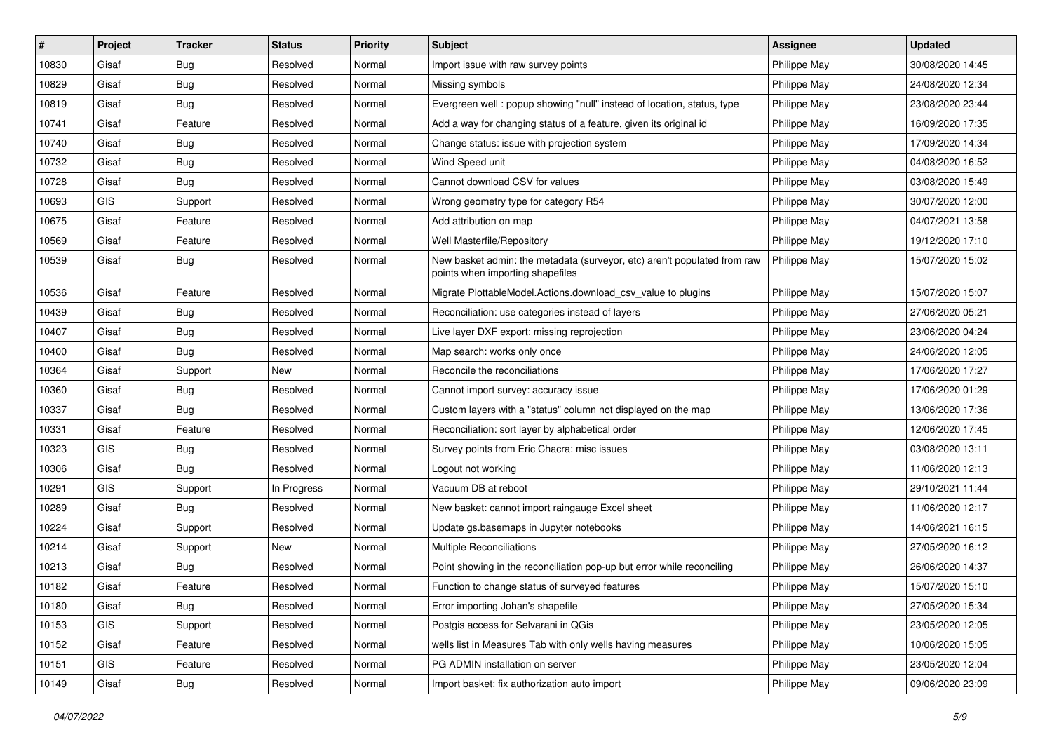| #     | Project | <b>Tracker</b> | <b>Status</b> | <b>Priority</b> | <b>Subject</b>                                                                                               | <b>Assignee</b> | <b>Updated</b>   |
|-------|---------|----------------|---------------|-----------------|--------------------------------------------------------------------------------------------------------------|-----------------|------------------|
| 10830 | Gisaf   | <b>Bug</b>     | Resolved      | Normal          | Import issue with raw survey points                                                                          | Philippe May    | 30/08/2020 14:45 |
| 10829 | Gisaf   | <b>Bug</b>     | Resolved      | Normal          | Missing symbols                                                                                              | Philippe May    | 24/08/2020 12:34 |
| 10819 | Gisaf   | Bug            | Resolved      | Normal          | Evergreen well: popup showing "null" instead of location, status, type                                       | Philippe May    | 23/08/2020 23:44 |
| 10741 | Gisaf   | Feature        | Resolved      | Normal          | Add a way for changing status of a feature, given its original id                                            | Philippe May    | 16/09/2020 17:35 |
| 10740 | Gisaf   | Bug            | Resolved      | Normal          | Change status: issue with projection system                                                                  | Philippe May    | 17/09/2020 14:34 |
| 10732 | Gisaf   | Bug            | Resolved      | Normal          | Wind Speed unit                                                                                              | Philippe May    | 04/08/2020 16:52 |
| 10728 | Gisaf   | Bug            | Resolved      | Normal          | Cannot download CSV for values                                                                               | Philippe May    | 03/08/2020 15:49 |
| 10693 | GIS     | Support        | Resolved      | Normal          | Wrong geometry type for category R54                                                                         | Philippe May    | 30/07/2020 12:00 |
| 10675 | Gisaf   | Feature        | Resolved      | Normal          | Add attribution on map                                                                                       | Philippe May    | 04/07/2021 13:58 |
| 10569 | Gisaf   | Feature        | Resolved      | Normal          | Well Masterfile/Repository                                                                                   | Philippe May    | 19/12/2020 17:10 |
| 10539 | Gisaf   | <b>Bug</b>     | Resolved      | Normal          | New basket admin: the metadata (surveyor, etc) aren't populated from raw<br>points when importing shapefiles | Philippe May    | 15/07/2020 15:02 |
| 10536 | Gisaf   | Feature        | Resolved      | Normal          | Migrate PlottableModel.Actions.download_csv_value to plugins                                                 | Philippe May    | 15/07/2020 15:07 |
| 10439 | Gisaf   | Bug            | Resolved      | Normal          | Reconciliation: use categories instead of layers                                                             | Philippe May    | 27/06/2020 05:21 |
| 10407 | Gisaf   | Bug            | Resolved      | Normal          | Live layer DXF export: missing reprojection                                                                  | Philippe May    | 23/06/2020 04:24 |
| 10400 | Gisaf   | Bug            | Resolved      | Normal          | Map search: works only once                                                                                  | Philippe May    | 24/06/2020 12:05 |
| 10364 | Gisaf   | Support        | <b>New</b>    | Normal          | Reconcile the reconciliations                                                                                | Philippe May    | 17/06/2020 17:27 |
| 10360 | Gisaf   | Bug            | Resolved      | Normal          | Cannot import survey: accuracy issue                                                                         | Philippe May    | 17/06/2020 01:29 |
| 10337 | Gisaf   | Bug            | Resolved      | Normal          | Custom layers with a "status" column not displayed on the map                                                | Philippe May    | 13/06/2020 17:36 |
| 10331 | Gisaf   | Feature        | Resolved      | Normal          | Reconciliation: sort layer by alphabetical order                                                             | Philippe May    | 12/06/2020 17:45 |
| 10323 | GIS     | <b>Bug</b>     | Resolved      | Normal          | Survey points from Eric Chacra: misc issues                                                                  | Philippe May    | 03/08/2020 13:11 |
| 10306 | Gisaf   | Bug            | Resolved      | Normal          | Logout not working                                                                                           | Philippe May    | 11/06/2020 12:13 |
| 10291 | GIS     | Support        | In Progress   | Normal          | Vacuum DB at reboot                                                                                          | Philippe May    | 29/10/2021 11:44 |
| 10289 | Gisaf   | Bug            | Resolved      | Normal          | New basket: cannot import raingauge Excel sheet                                                              | Philippe May    | 11/06/2020 12:17 |
| 10224 | Gisaf   | Support        | Resolved      | Normal          | Update gs.basemaps in Jupyter notebooks                                                                      | Philippe May    | 14/06/2021 16:15 |
| 10214 | Gisaf   | Support        | <b>New</b>    | Normal          | <b>Multiple Reconciliations</b>                                                                              | Philippe May    | 27/05/2020 16:12 |
| 10213 | Gisaf   | Bug            | Resolved      | Normal          | Point showing in the reconciliation pop-up but error while reconciling                                       | Philippe May    | 26/06/2020 14:37 |
| 10182 | Gisaf   | Feature        | Resolved      | Normal          | Function to change status of surveyed features                                                               | Philippe May    | 15/07/2020 15:10 |
| 10180 | Gisaf   | Bug            | Resolved      | Normal          | Error importing Johan's shapefile                                                                            | Philippe May    | 27/05/2020 15:34 |
| 10153 | GIS     | Support        | Resolved      | Normal          | Postgis access for Selvarani in QGis                                                                         | Philippe May    | 23/05/2020 12:05 |
| 10152 | Gisaf   | Feature        | Resolved      | Normal          | wells list in Measures Tab with only wells having measures                                                   | Philippe May    | 10/06/2020 15:05 |
| 10151 | GIS     | Feature        | Resolved      | Normal          | PG ADMIN installation on server                                                                              | Philippe May    | 23/05/2020 12:04 |
| 10149 | Gisaf   | Bug            | Resolved      | Normal          | Import basket: fix authorization auto import                                                                 | Philippe May    | 09/06/2020 23:09 |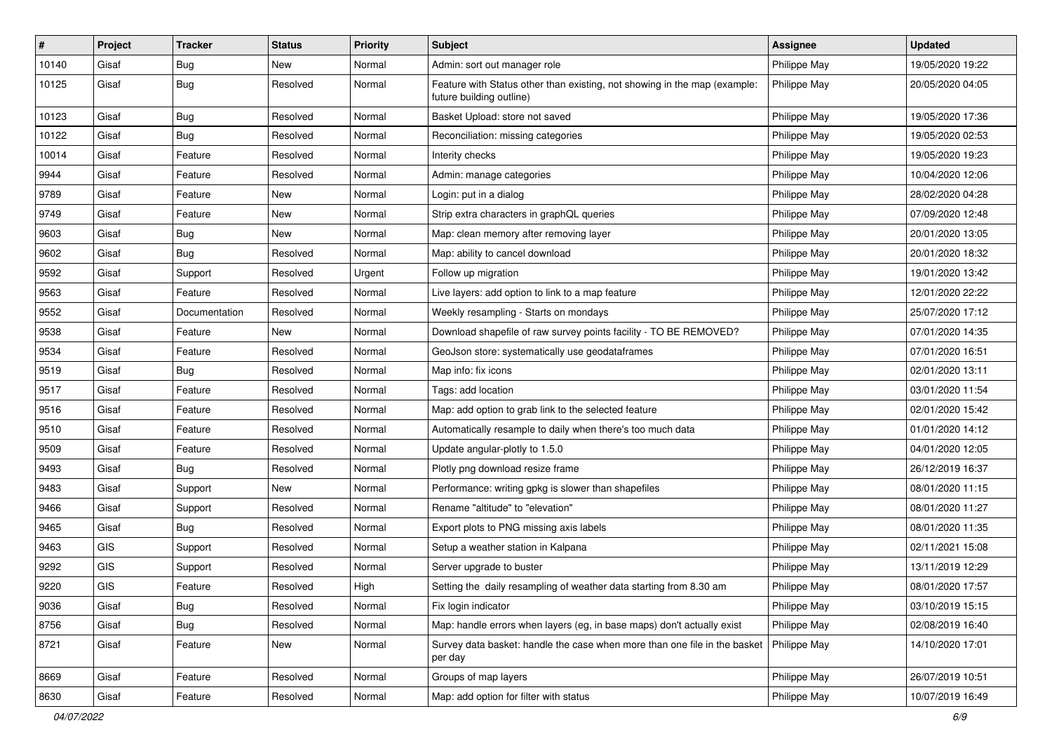| #     | Project    | <b>Tracker</b> | <b>Status</b> | <b>Priority</b> | Subject                                                                                               | Assignee     | <b>Updated</b>   |
|-------|------------|----------------|---------------|-----------------|-------------------------------------------------------------------------------------------------------|--------------|------------------|
| 10140 | Gisaf      | <b>Bug</b>     | <b>New</b>    | Normal          | Admin: sort out manager role                                                                          | Philippe May | 19/05/2020 19:22 |
| 10125 | Gisaf      | <b>Bug</b>     | Resolved      | Normal          | Feature with Status other than existing, not showing in the map (example:<br>future building outline) | Philippe May | 20/05/2020 04:05 |
| 10123 | Gisaf      | <b>Bug</b>     | Resolved      | Normal          | Basket Upload: store not saved                                                                        | Philippe May | 19/05/2020 17:36 |
| 10122 | Gisaf      | Bug            | Resolved      | Normal          | Reconciliation: missing categories                                                                    | Philippe May | 19/05/2020 02:53 |
| 10014 | Gisaf      | Feature        | Resolved      | Normal          | Interity checks                                                                                       | Philippe May | 19/05/2020 19:23 |
| 9944  | Gisaf      | Feature        | Resolved      | Normal          | Admin: manage categories                                                                              | Philippe May | 10/04/2020 12:06 |
| 9789  | Gisaf      | Feature        | New           | Normal          | Login: put in a dialog                                                                                | Philippe May | 28/02/2020 04:28 |
| 9749  | Gisaf      | Feature        | New           | Normal          | Strip extra characters in graphQL queries                                                             | Philippe May | 07/09/2020 12:48 |
| 9603  | Gisaf      | Bug            | New           | Normal          | Map: clean memory after removing layer                                                                | Philippe May | 20/01/2020 13:05 |
| 9602  | Gisaf      | <b>Bug</b>     | Resolved      | Normal          | Map: ability to cancel download                                                                       | Philippe May | 20/01/2020 18:32 |
| 9592  | Gisaf      | Support        | Resolved      | Urgent          | Follow up migration                                                                                   | Philippe May | 19/01/2020 13:42 |
| 9563  | Gisaf      | Feature        | Resolved      | Normal          | Live layers: add option to link to a map feature                                                      | Philippe May | 12/01/2020 22:22 |
| 9552  | Gisaf      | Documentation  | Resolved      | Normal          | Weekly resampling - Starts on mondays                                                                 | Philippe May | 25/07/2020 17:12 |
| 9538  | Gisaf      | Feature        | New           | Normal          | Download shapefile of raw survey points facility - TO BE REMOVED?                                     | Philippe May | 07/01/2020 14:35 |
| 9534  | Gisaf      | Feature        | Resolved      | Normal          | GeoJson store: systematically use geodataframes                                                       | Philippe May | 07/01/2020 16:51 |
| 9519  | Gisaf      | <b>Bug</b>     | Resolved      | Normal          | Map info: fix icons                                                                                   | Philippe May | 02/01/2020 13:11 |
| 9517  | Gisaf      | Feature        | Resolved      | Normal          | Tags: add location                                                                                    | Philippe May | 03/01/2020 11:54 |
| 9516  | Gisaf      | Feature        | Resolved      | Normal          | Map: add option to grab link to the selected feature                                                  | Philippe May | 02/01/2020 15:42 |
| 9510  | Gisaf      | Feature        | Resolved      | Normal          | Automatically resample to daily when there's too much data                                            | Philippe May | 01/01/2020 14:12 |
| 9509  | Gisaf      | Feature        | Resolved      | Normal          | Update angular-plotly to 1.5.0                                                                        | Philippe May | 04/01/2020 12:05 |
| 9493  | Gisaf      | <b>Bug</b>     | Resolved      | Normal          | Plotly png download resize frame                                                                      | Philippe May | 26/12/2019 16:37 |
| 9483  | Gisaf      | Support        | New           | Normal          | Performance: writing gpkg is slower than shapefiles                                                   | Philippe May | 08/01/2020 11:15 |
| 9466  | Gisaf      | Support        | Resolved      | Normal          | Rename "altitude" to "elevation"                                                                      | Philippe May | 08/01/2020 11:27 |
| 9465  | Gisaf      | Bug            | Resolved      | Normal          | Export plots to PNG missing axis labels                                                               | Philippe May | 08/01/2020 11:35 |
| 9463  | <b>GIS</b> | Support        | Resolved      | Normal          | Setup a weather station in Kalpana                                                                    | Philippe May | 02/11/2021 15:08 |
| 9292  | GIS        | Support        | Resolved      | Normal          | Server upgrade to buster                                                                              | Philippe May | 13/11/2019 12:29 |
| 9220  | GIS        | Feature        | Resolved      | High            | Setting the daily resampling of weather data starting from 8.30 am                                    | Philippe May | 08/01/2020 17:57 |
| 9036  | Gisaf      | Bug            | Resolved      | Normal          | Fix login indicator                                                                                   | Philippe May | 03/10/2019 15:15 |
| 8756  | Gisaf      | <b>Bug</b>     | Resolved      | Normal          | Map: handle errors when layers (eg, in base maps) don't actually exist                                | Philippe May | 02/08/2019 16:40 |
| 8721  | Gisaf      | Feature        | New           | Normal          | Survey data basket: handle the case when more than one file in the basket<br>per day                  | Philippe May | 14/10/2020 17:01 |
| 8669  | Gisaf      | Feature        | Resolved      | Normal          | Groups of map layers                                                                                  | Philippe May | 26/07/2019 10:51 |
| 8630  | Gisaf      | Feature        | Resolved      | Normal          | Map: add option for filter with status                                                                | Philippe May | 10/07/2019 16:49 |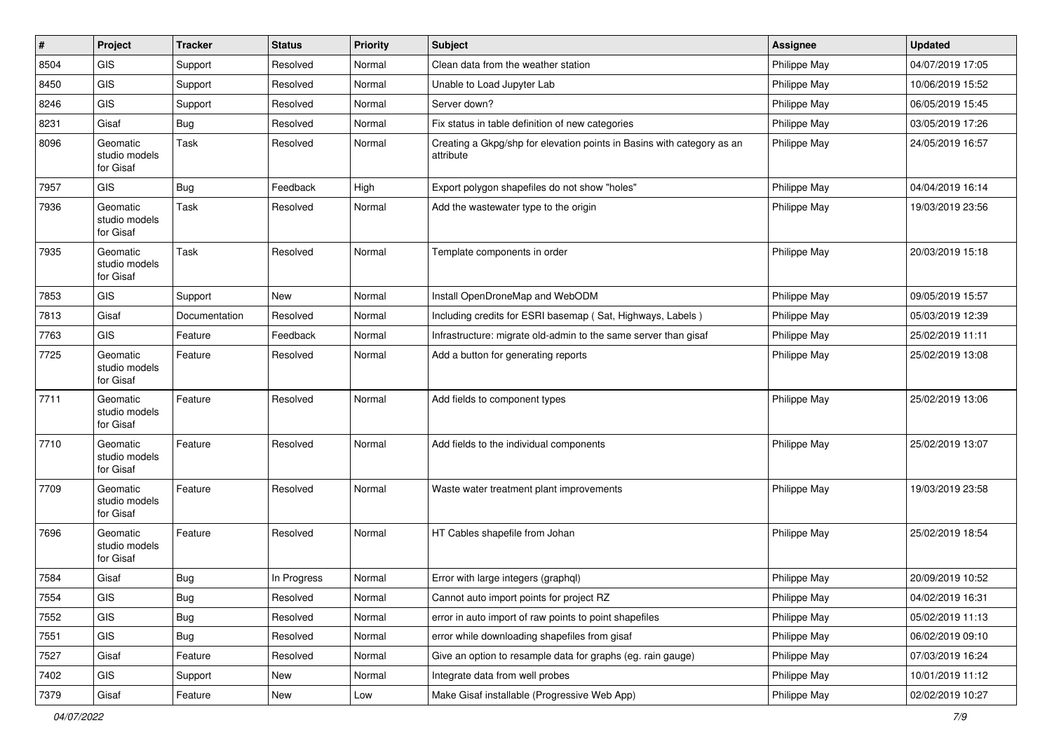| $\vert$ # | Project                                | <b>Tracker</b> | <b>Status</b> | <b>Priority</b> | <b>Subject</b>                                                                      | <b>Assignee</b> | <b>Updated</b>   |
|-----------|----------------------------------------|----------------|---------------|-----------------|-------------------------------------------------------------------------------------|-----------------|------------------|
| 8504      | <b>GIS</b>                             | Support        | Resolved      | Normal          | Clean data from the weather station                                                 | Philippe May    | 04/07/2019 17:05 |
| 8450      | GIS                                    | Support        | Resolved      | Normal          | Unable to Load Jupyter Lab                                                          | Philippe May    | 10/06/2019 15:52 |
| 8246      | <b>GIS</b>                             | Support        | Resolved      | Normal          | Server down?                                                                        | Philippe May    | 06/05/2019 15:45 |
| 8231      | Gisaf                                  | <b>Bug</b>     | Resolved      | Normal          | Fix status in table definition of new categories                                    | Philippe May    | 03/05/2019 17:26 |
| 8096      | Geomatic<br>studio models<br>for Gisaf | Task           | Resolved      | Normal          | Creating a Gkpg/shp for elevation points in Basins with category as an<br>attribute | Philippe May    | 24/05/2019 16:57 |
| 7957      | <b>GIS</b>                             | <b>Bug</b>     | Feedback      | High            | Export polygon shapefiles do not show "holes"                                       | Philippe May    | 04/04/2019 16:14 |
| 7936      | Geomatic<br>studio models<br>for Gisaf | Task           | Resolved      | Normal          | Add the wastewater type to the origin                                               | Philippe May    | 19/03/2019 23:56 |
| 7935      | Geomatic<br>studio models<br>for Gisaf | Task           | Resolved      | Normal          | Template components in order                                                        | Philippe May    | 20/03/2019 15:18 |
| 7853      | GIS                                    | Support        | <b>New</b>    | Normal          | Install OpenDroneMap and WebODM                                                     | Philippe May    | 09/05/2019 15:57 |
| 7813      | Gisaf                                  | Documentation  | Resolved      | Normal          | Including credits for ESRI basemap (Sat, Highways, Labels)                          | Philippe May    | 05/03/2019 12:39 |
| 7763      | <b>GIS</b>                             | Feature        | Feedback      | Normal          | Infrastructure: migrate old-admin to the same server than gisaf                     | Philippe May    | 25/02/2019 11:11 |
| 7725      | Geomatic<br>studio models<br>for Gisaf | Feature        | Resolved      | Normal          | Add a button for generating reports                                                 | Philippe May    | 25/02/2019 13:08 |
| 7711      | Geomatic<br>studio models<br>for Gisaf | Feature        | Resolved      | Normal          | Add fields to component types                                                       | Philippe May    | 25/02/2019 13:06 |
| 7710      | Geomatic<br>studio models<br>for Gisaf | Feature        | Resolved      | Normal          | Add fields to the individual components                                             | Philippe May    | 25/02/2019 13:07 |
| 7709      | Geomatic<br>studio models<br>for Gisaf | Feature        | Resolved      | Normal          | Waste water treatment plant improvements                                            | Philippe May    | 19/03/2019 23:58 |
| 7696      | Geomatic<br>studio models<br>for Gisaf | Feature        | Resolved      | Normal          | HT Cables shapefile from Johan                                                      | Philippe May    | 25/02/2019 18:54 |
| 7584      | Gisaf                                  | <b>Bug</b>     | In Progress   | Normal          | Error with large integers (graphql)                                                 | Philippe May    | 20/09/2019 10:52 |
| 7554      | <b>GIS</b>                             | Bug            | Resolved      | Normal          | Cannot auto import points for project RZ                                            | Philippe May    | 04/02/2019 16:31 |
| 7552      | GIS                                    | Bug            | Resolved      | Normal          | error in auto import of raw points to point shapefiles                              | Philippe May    | 05/02/2019 11:13 |
| 7551      | <b>GIS</b>                             | Bug            | Resolved      | Normal          | error while downloading shapefiles from gisaf                                       | Philippe May    | 06/02/2019 09:10 |
| 7527      | Gisaf                                  | Feature        | Resolved      | Normal          | Give an option to resample data for graphs (eg. rain gauge)                         | Philippe May    | 07/03/2019 16:24 |
| 7402      | GIS                                    | Support        | New           | Normal          | Integrate data from well probes                                                     | Philippe May    | 10/01/2019 11:12 |
| 7379      | Gisaf                                  | Feature        | New           | Low             | Make Gisaf installable (Progressive Web App)                                        | Philippe May    | 02/02/2019 10:27 |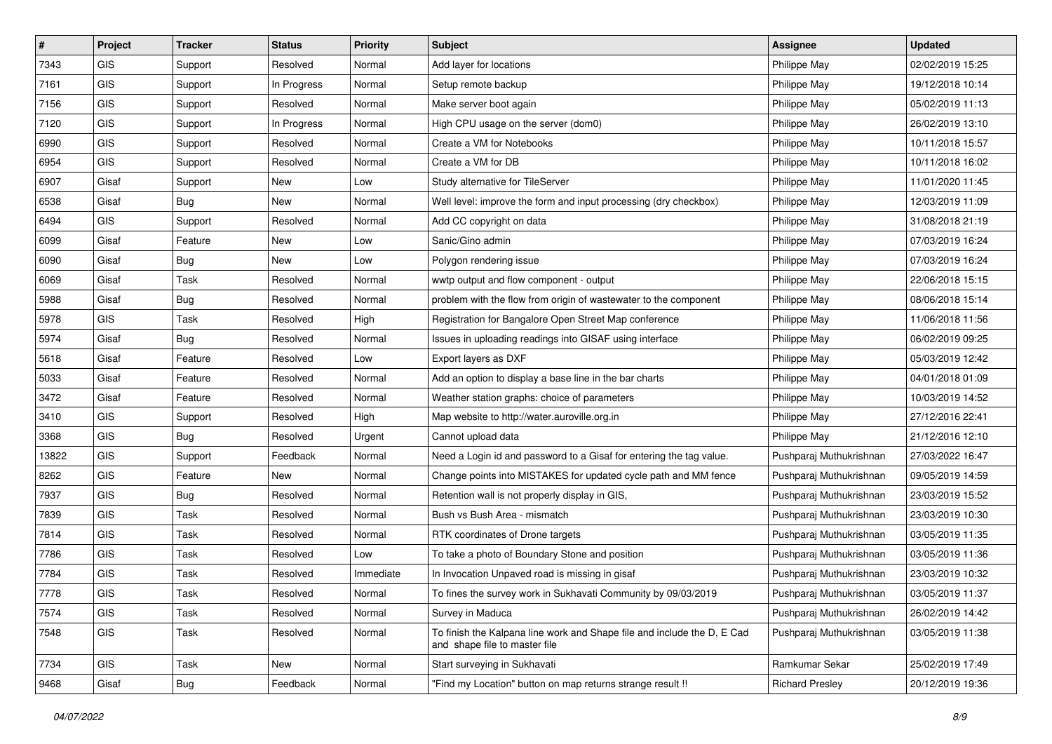| #     | Project    | <b>Tracker</b> | <b>Status</b> | Priority  | <b>Subject</b>                                                                                           | Assignee                | <b>Updated</b>   |
|-------|------------|----------------|---------------|-----------|----------------------------------------------------------------------------------------------------------|-------------------------|------------------|
| 7343  | GIS        | Support        | Resolved      | Normal    | Add layer for locations                                                                                  | Philippe May            | 02/02/2019 15:25 |
| 7161  | <b>GIS</b> | Support        | In Progress   | Normal    | Setup remote backup                                                                                      | Philippe May            | 19/12/2018 10:14 |
| 7156  | <b>GIS</b> | Support        | Resolved      | Normal    | Make server boot again                                                                                   | Philippe May            | 05/02/2019 11:13 |
| 7120  | <b>GIS</b> | Support        | In Progress   | Normal    | High CPU usage on the server (dom0)                                                                      | Philippe May            | 26/02/2019 13:10 |
| 6990  | <b>GIS</b> | Support        | Resolved      | Normal    | Create a VM for Notebooks                                                                                | Philippe May            | 10/11/2018 15:57 |
| 6954  | <b>GIS</b> | Support        | Resolved      | Normal    | Create a VM for DB                                                                                       | Philippe May            | 10/11/2018 16:02 |
| 6907  | Gisaf      | Support        | New           | Low       | Study alternative for TileServer                                                                         | Philippe May            | 11/01/2020 11:45 |
| 6538  | Gisaf      | <b>Bug</b>     | New           | Normal    | Well level: improve the form and input processing (dry checkbox)                                         | Philippe May            | 12/03/2019 11:09 |
| 6494  | GIS.       | Support        | Resolved      | Normal    | Add CC copyright on data                                                                                 | Philippe May            | 31/08/2018 21:19 |
| 6099  | Gisaf      | Feature        | New           | Low       | Sanic/Gino admin                                                                                         | Philippe May            | 07/03/2019 16:24 |
| 6090  | Gisaf      | <b>Bug</b>     | New           | Low       | Polygon rendering issue                                                                                  | Philippe May            | 07/03/2019 16:24 |
| 6069  | Gisaf      | Task           | Resolved      | Normal    | wwtp output and flow component - output                                                                  | Philippe May            | 22/06/2018 15:15 |
| 5988  | Gisaf      | <b>Bug</b>     | Resolved      | Normal    | problem with the flow from origin of wastewater to the component                                         | Philippe May            | 08/06/2018 15:14 |
| 5978  | <b>GIS</b> | Task           | Resolved      | High      | Registration for Bangalore Open Street Map conference                                                    | Philippe May            | 11/06/2018 11:56 |
| 5974  | Gisaf      | <b>Bug</b>     | Resolved      | Normal    | Issues in uploading readings into GISAF using interface                                                  | Philippe May            | 06/02/2019 09:25 |
| 5618  | Gisaf      | Feature        | Resolved      | Low       | Export layers as DXF                                                                                     | Philippe May            | 05/03/2019 12:42 |
| 5033  | Gisaf      | Feature        | Resolved      | Normal    | Add an option to display a base line in the bar charts                                                   | Philippe May            | 04/01/2018 01:09 |
| 3472  | Gisaf      | Feature        | Resolved      | Normal    | Weather station graphs: choice of parameters                                                             | Philippe May            | 10/03/2019 14:52 |
| 3410  | <b>GIS</b> | Support        | Resolved      | High      | Map website to http://water.auroville.org.in                                                             | Philippe May            | 27/12/2016 22:41 |
| 3368  | <b>GIS</b> | <b>Bug</b>     | Resolved      | Urgent    | Cannot upload data                                                                                       | Philippe May            | 21/12/2016 12:10 |
| 13822 | GIS        | Support        | Feedback      | Normal    | Need a Login id and password to a Gisaf for entering the tag value.                                      | Pushparaj Muthukrishnan | 27/03/2022 16:47 |
| 8262  | <b>GIS</b> | Feature        | New           | Normal    | Change points into MISTAKES for updated cycle path and MM fence                                          | Pushparaj Muthukrishnan | 09/05/2019 14:59 |
| 7937  | <b>GIS</b> | Bug            | Resolved      | Normal    | Retention wall is not properly display in GIS,                                                           | Pushparaj Muthukrishnan | 23/03/2019 15:52 |
| 7839  | <b>GIS</b> | Task           | Resolved      | Normal    | Bush vs Bush Area - mismatch                                                                             | Pushparaj Muthukrishnan | 23/03/2019 10:30 |
| 7814  | <b>GIS</b> | Task           | Resolved      | Normal    | RTK coordinates of Drone targets                                                                         | Pushparaj Muthukrishnan | 03/05/2019 11:35 |
| 7786  | <b>GIS</b> | Task           | Resolved      | Low       | To take a photo of Boundary Stone and position                                                           | Pushparaj Muthukrishnan | 03/05/2019 11:36 |
| 7784  | <b>GIS</b> | Task           | Resolved      | Immediate | In Invocation Unpaved road is missing in gisaf                                                           | Pushparaj Muthukrishnan | 23/03/2019 10:32 |
| 7778  | GIS        | Task           | Resolved      | Normal    | To fines the survey work in Sukhavati Community by 09/03/2019                                            | Pushparaj Muthukrishnan | 03/05/2019 11:37 |
| 7574  | <b>GIS</b> | Task           | Resolved      | Normal    | Survey in Maduca                                                                                         | Pushparaj Muthukrishnan | 26/02/2019 14:42 |
| 7548  | GIS        | Task           | Resolved      | Normal    | To finish the Kalpana line work and Shape file and include the D, E Cad<br>and shape file to master file | Pushparaj Muthukrishnan | 03/05/2019 11:38 |
| 7734  | GIS        | Task           | New           | Normal    | Start surveying in Sukhavati                                                                             | Ramkumar Sekar          | 25/02/2019 17:49 |
| 9468  | Gisaf      | <b>Bug</b>     | Feedback      | Normal    | "Find my Location" button on map returns strange result !!                                               | <b>Richard Presley</b>  | 20/12/2019 19:36 |